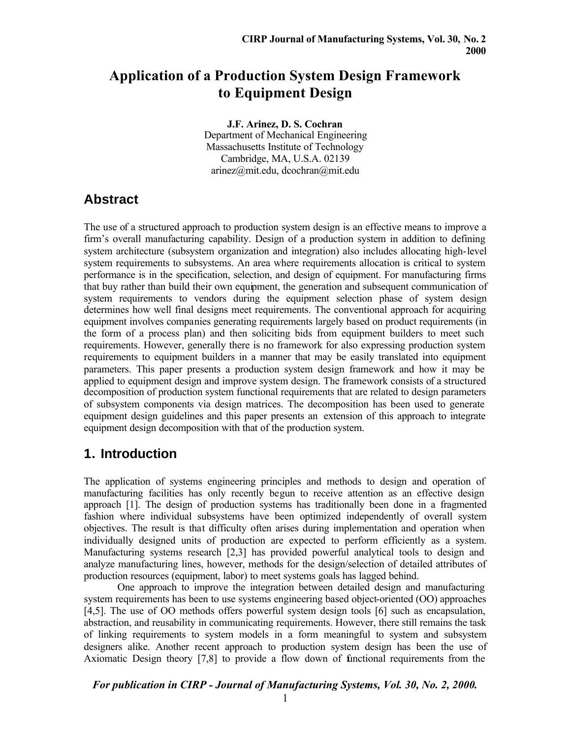# **Application of a Production System Design Framework to Equipment Design**

**J.F. Arinez, D. S. Cochran** Department of Mechanical Engineering Massachusetts Institute of Technology Cambridge, MA, U.S.A. 02139 arinez@mit.edu, dcochran@mit.edu

## **Abstract**

The use of a structured approach to production system design is an effective means to improve a firm's overall manufacturing capability. Design of a production system in addition to defining system architecture (subsystem organization and integration) also includes allocating high-level system requirements to subsystems. An area where requirements allocation is critical to system performance is in the specification, selection, and design of equipment. For manufacturing firms that buy rather than build their own equipment, the generation and subsequent communication of system requirements to vendors during the equipment selection phase of system design determines how well final designs meet requirements. The conventional approach for acquiring equipment involves companies generating requirements largely based on product requirements (in the form of a process plan) and then soliciting bids from equipment builders to meet such requirements. However, generally there is no framework for also expressing production system requirements to equipment builders in a manner that may be easily translated into equipment parameters. This paper presents a production system design framework and how it may be applied to equipment design and improve system design. The framework consists of a structured decomposition of production system functional requirements that are related to design parameters of subsystem components via design matrices. The decomposition has been used to generate equipment design guidelines and this paper presents an extension of this approach to integrate equipment design decomposition with that of the production system.

## **1. Introduction**

The application of systems engineering principles and methods to design and operation of manufacturing facilities has only recently begun to receive attention as an effective design approach [1]. The design of production systems has traditionally been done in a fragmented fashion where individual subsystems have been optimized independently of overall system objectives. The result is that difficulty often arises during implementation and operation when individually designed units of production are expected to perform efficiently as a system. Manufacturing systems research [2,3] has provided powerful analytical tools to design and analyze manufacturing lines, however, methods for the design/selection of detailed attributes of production resources (equipment, labor) to meet systems goals has lagged behind.

One approach to improve the integration between detailed design and manufacturing system requirements has been to use systems engineering based object-oriented (OO) approaches [4,5]. The use of OO methods offers powerful system design tools [6] such as encapsulation, abstraction, and reusability in communicating requirements. However, there still remains the task of linking requirements to system models in a form meaningful to system and subsystem designers alike. Another recent approach to production system design has been the use of Axiomatic Design theory [7,8] to provide a flow down of functional requirements from the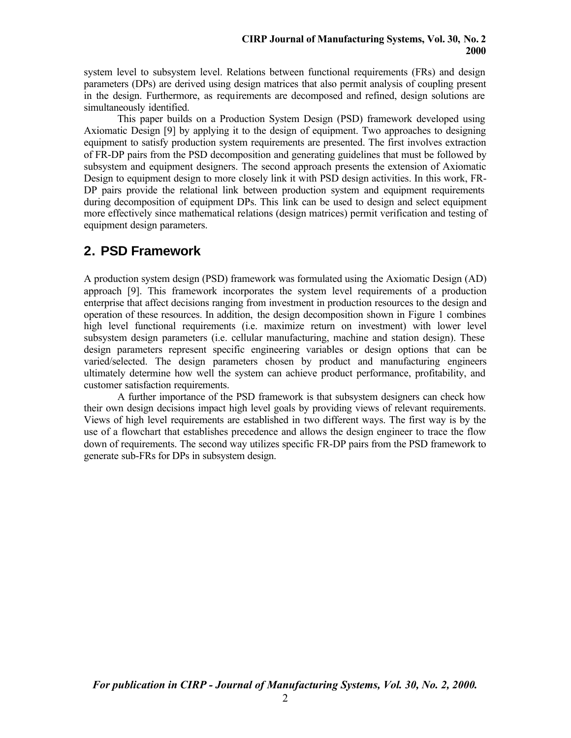system level to subsystem level. Relations between functional requirements (FRs) and design parameters (DPs) are derived using design matrices that also permit analysis of coupling present in the design. Furthermore, as requirements are decomposed and refined, design solutions are simultaneously identified.

This paper builds on a Production System Design (PSD) framework developed using Axiomatic Design [9] by applying it to the design of equipment. Two approaches to designing equipment to satisfy production system requirements are presented. The first involves extraction of FR-DP pairs from the PSD decomposition and generating guidelines that must be followed by subsystem and equipment designers. The second approach presents the extension of Axiomatic Design to equipment design to more closely link it with PSD design activities. In this work, FR-DP pairs provide the relational link between production system and equipment requirements during decomposition of equipment DPs. This link can be used to design and select equipment more effectively since mathematical relations (design matrices) permit verification and testing of equipment design parameters.

## **2. PSD Framework**

A production system design (PSD) framework was formulated using the Axiomatic Design (AD) approach [9]. This framework incorporates the system level requirements of a production enterprise that affect decisions ranging from investment in production resources to the design and operation of these resources. In addition, the design decomposition shown in Figure 1 combines high level functional requirements (i.e. maximize return on investment) with lower level subsystem design parameters (i.e. cellular manufacturing, machine and station design). These design parameters represent specific engineering variables or design options that can be varied/selected. The design parameters chosen by product and manufacturing engineers ultimately determine how well the system can achieve product performance, profitability, and customer satisfaction requirements.

A further importance of the PSD framework is that subsystem designers can check how their own design decisions impact high level goals by providing views of relevant requirements. Views of high level requirements are established in two different ways. The first way is by the use of a flowchart that establishes precedence and allows the design engineer to trace the flow down of requirements. The second way utilizes specific FR-DP pairs from the PSD framework to generate sub-FRs for DPs in subsystem design.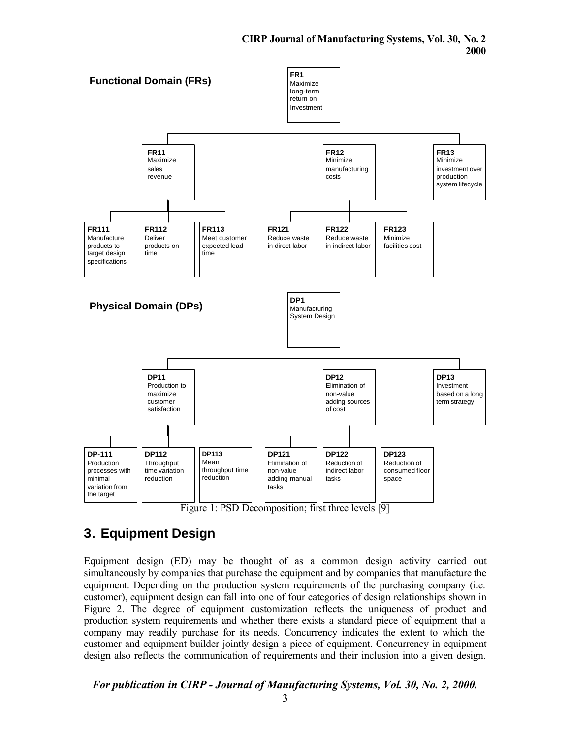



Equipment design (ED) may be thought of as a common design activity carried out simultaneously by companies that purchase the equipment and by companies that manufacture the equipment. Depending on the production system requirements of the purchasing company (i.e. customer), equipment design can fall into one of four categories of design relationships shown in Figure 2. The degree of equipment customization reflects the uniqueness of product and production system requirements and whether there exists a standard piece of equipment that a company may readily purchase for its needs. Concurrency indicates the extent to which the customer and equipment builder jointly design a piece of equipment. Concurrency in equipment design also reflects the communication of requirements and their inclusion into a given design.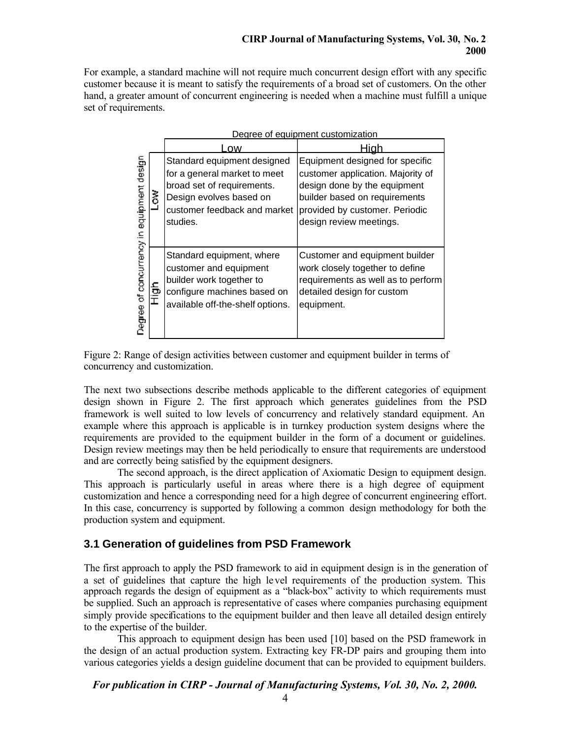For example, a standard machine will not require much concurrent design effort with any specific customer because it is meant to satisfy the requirements of a broad set of customers. On the other hand, a greater amount of concurrent engineering is needed when a machine must fulfill a unique set of requirements.

| Degree of equipment customization            |  |                                                                                                                                                                  |                                                                                                                                                                                                    |
|----------------------------------------------|--|------------------------------------------------------------------------------------------------------------------------------------------------------------------|----------------------------------------------------------------------------------------------------------------------------------------------------------------------------------------------------|
|                                              |  | .OW                                                                                                                                                              | <u>-liah</u>                                                                                                                                                                                       |
| concurrency in equipment design<br>Jegree of |  | Standard equipment designed<br>for a general market to meet<br>broad set of requirements.<br>Design evolves based on<br>customer feedback and market<br>studies. | Equipment designed for specific<br>customer application. Majority of<br>design done by the equipment<br>builder based on requirements<br>provided by customer. Periodic<br>design review meetings. |
|                                              |  | Standard equipment, where<br>customer and equipment<br>builder work together to<br>configure machines based on<br>available off-the-shelf options.               | Customer and equipment builder<br>work closely together to define<br>requirements as well as to perform<br>detailed design for custom<br>equipment.                                                |



The next two subsections describe methods applicable to the different categories of equipment design shown in Figure 2. The first approach which generates guidelines from the PSD framework is well suited to low levels of concurrency and relatively standard equipment. An example where this approach is applicable is in turnkey production system designs where the requirements are provided to the equipment builder in the form of a document or guidelines. Design review meetings may then be held periodically to ensure that requirements are understood and are correctly being satisfied by the equipment designers.

The second approach, is the direct application of Axiomatic Design to equipment design. This approach is particularly useful in areas where there is a high degree of equipment customization and hence a corresponding need for a high degree of concurrent engineering effort. In this case, concurrency is supported by following a common design methodology for both the production system and equipment.

### **3.1 Generation of guidelines from PSD Framework**

The first approach to apply the PSD framework to aid in equipment design is in the generation of a set of guidelines that capture the high level requirements of the production system. This approach regards the design of equipment as a "black-box" activity to which requirements must be supplied. Such an approach is representative of cases where companies purchasing equipment simply provide specifications to the equipment builder and then leave all detailed design entirely to the expertise of the builder.

This approach to equipment design has been used [10] based on the PSD framework in the design of an actual production system. Extracting key FR-DP pairs and grouping them into various categories yields a design guideline document that can be provided to equipment builders.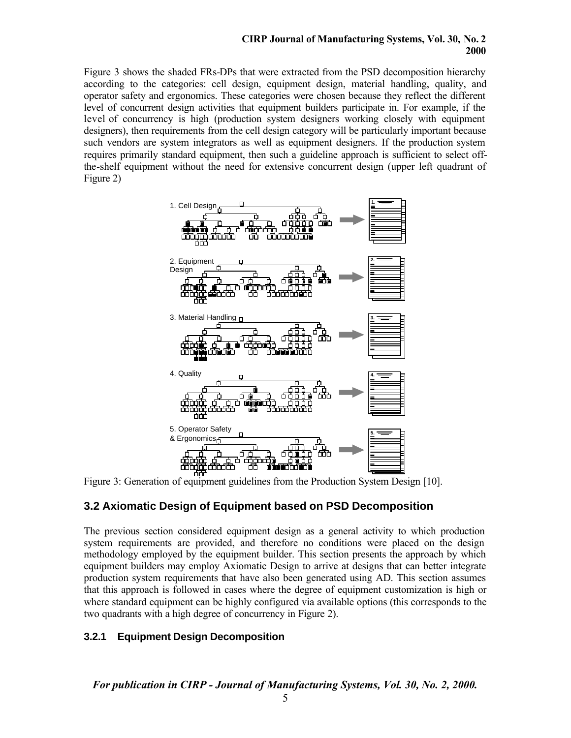#### **CIRP Journal of Manufacturing Systems, Vol. 30, No. 2 2000**

Figure 3 shows the shaded FRs-DPs that were extracted from the PSD decomposition hierarchy according to the categories: cell design, equipment design, material handling, quality, and operator safety and ergonomics. These categories were chosen because they reflect the different level of concurrent design activities that equipment builders participate in. For example, if the level of concurrency is high (production system designers working closely with equipment designers), then requirements from the cell design category will be particularly important because such vendors are system integrators as well as equipment designers. If the production system requires primarily standard equipment, then such a guideline approach is sufficient to select offthe-shelf equipment without the need for extensive concurrent design (upper left quadrant of Figure 2)



Figure 3: Generation of equipment guidelines from the Production System Design [10].

### **3.2 Axiomatic Design of Equipment based on PSD Decomposition**

The previous section considered equipment design as a general activity to which production system requirements are provided, and therefore no conditions were placed on the design methodology employed by the equipment builder. This section presents the approach by which equipment builders may employ Axiomatic Design to arrive at designs that can better integrate production system requirements that have also been generated using AD. This section assumes that this approach is followed in cases where the degree of equipment customization is high or where standard equipment can be highly configured via available options (this corresponds to the two quadrants with a high degree of concurrency in Figure 2).

### **3.2.1 Equipment Design Decomposition**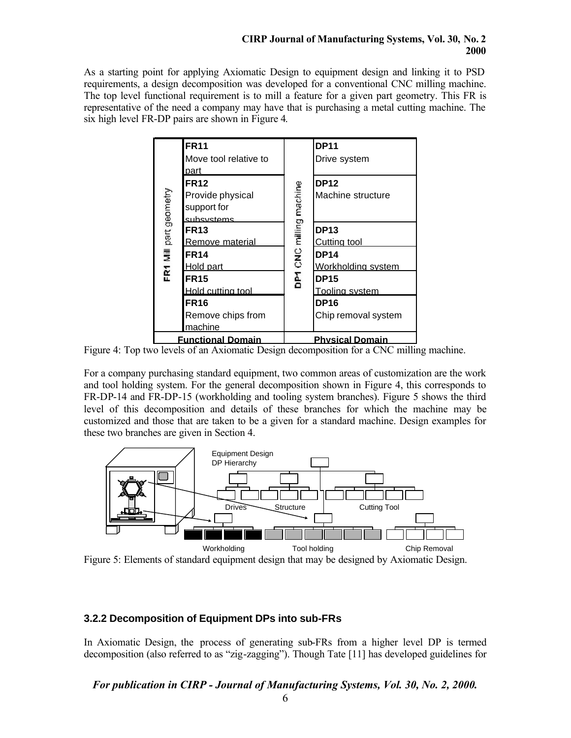#### **CIRP Journal of Manufacturing Systems, Vol. 30, No. 2 2000**

As a starting point for applying Axiomatic Design to equipment design and linking it to PSD requirements, a design decomposition was developed for a conventional CNC milling machine. The top level functional requirement is to mill a feature for a given part geometry. This FR is representative of the need a company may have that is purchasing a metal cutting machine. The six high level FR-DP pairs are shown in Figure 4.



Figure 4: Top two levels of an Axiomatic Design decomposition for a CNC milling machine.

For a company purchasing standard equipment, two common areas of customization are the work and tool holding system. For the general decomposition shown in Figure 4, this corresponds to FR-DP-14 and FR-DP-15 (workholding and tooling system branches). Figure 5 shows the third level of this decomposition and details of these branches for which the machine may be customized and those that are taken to be a given for a standard machine. Design examples for these two branches are given in Section 4.



Figure 5: Elements of standard equipment design that may be designed by Axiomatic Design.

### **3.2.2 Decomposition of Equipment DPs into sub-FRs**

In Axiomatic Design, the process of generating sub-FRs from a higher level DP is termed decomposition (also referred to as "zig-zagging"). Though Tate [11] has developed guidelines for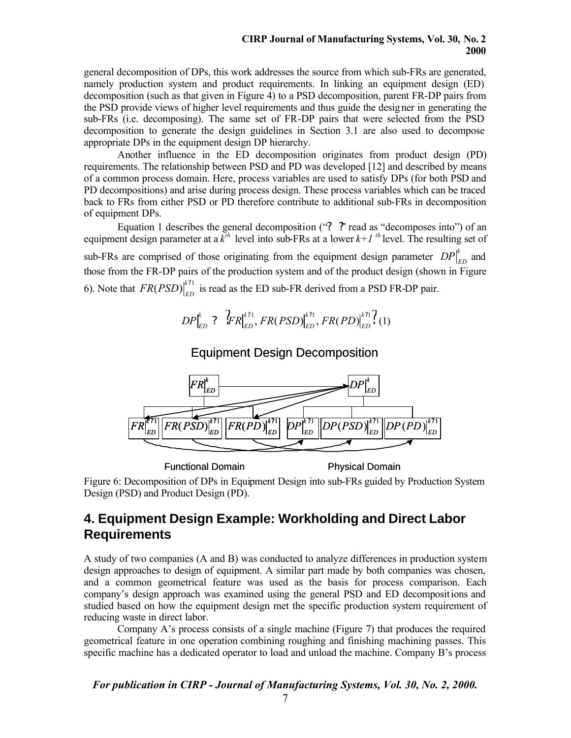#### **CIRP Journal of Manufacturing Systems, Vol. 30, No. 2 2000**

general decomposition of DPs, this work addresses the source from which sub-FRs are generated, namely production system and product requirements. In linking an equipment design (ED) decomposition (such as that given in Figure 4) to a PSD decomposition, parent FR-DP pairs from the PSD provide views of higher level requirements and thus guide the designer in generating the sub-FRs (i.e. decomposing). The same set of FR-DP pairs that were selected from the PSD decomposition to generate the design guidelines in Section 3.1 are also used to decompose appropriate DPs in the equipment design DP hierarchy.

Another influence in the ED decomposition originates from product design (PD) requirements. The relationship between PSD and PD was developed [12] and described by means of a common process domain. Here, process variables are used to satisfy DPs (for both PSD and PD decompositions) and arise during process design. These process variables which can be traced back to FRs from either PSD or PD therefore contribute to additional sub-FRs in decomposition of equipment DPs.

Equation 1 describes the general decomposition ("**? ?**" read as "decomposes into") of an equipment design parameter at a  $\overline{k}^{th}$  level into sub-FRs at a lower  $k+1$ <sup>th</sup> level. The resulting set of sub-FRs are comprised of those originating from the equipment design parameter  $DP_{ED}^{k}$  and those from the FR-DP pairs of the production system and of the product design (shown in Figure 6). Note that  $FR(PSD)|_{ED}^{k?1}$  is read as the ED sub-FR derived from a PSD FR-DP pair.

$$
DP|_{ED}^k : \left\langle \mathcal{F}R \right|_{ED}^{k?1}, \left\langle FR(PSD) \right|_{ED}^{k?1}, \left\langle FR(PD) \right|_{ED}^{k?1} (1)
$$

#### Equipment Design Decomposition



Functional Domain **Physical Domain** 

Figure 6: Decomposition of DPs in Equipment Design into sub-FRs guided by Production System Design (PSD) and Product Design (PD).

## **4. Equipment Design Example: Workholding and Direct Labor Requirements**

A study of two companies (A and B) was conducted to analyze differences in production system design approaches to design of equipment. A similar part made by both companies was chosen, and a common geometrical feature was used as the basis for process comparison. Each company's design approach was examined using the general PSD and ED decompositions and studied based on how the equipment design met the specific production system requirement of reducing waste in direct labor.

Company A's process consists of a single machine (Figure 7) that produces the required geometrical feature in one operation combining roughing and finishing machining passes. This specific machine has a dedicated operator to load and unload the machine. Company B's process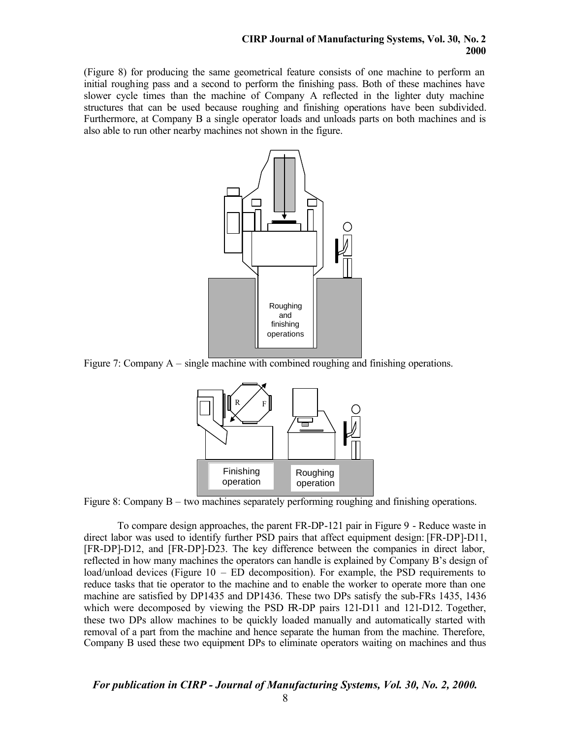(Figure 8) for producing the same geometrical feature consists of one machine to perform an initial roughing pass and a second to perform the finishing pass. Both of these machines have slower cycle times than the machine of Company A reflected in the lighter duty machine structures that can be used because roughing and finishing operations have been subdivided. Furthermore, at Company B a single operator loads and unloads parts on both machines and is also able to run other nearby machines not shown in the figure.



Figure 7: Company A – single machine with combined roughing and finishing operations.



Figure 8: Company B – two machines separately performing roughing and finishing operations.

To compare design approaches, the parent FR-DP-121 pair in Figure 9 - Reduce waste in direct labor was used to identify further PSD pairs that affect equipment design: [FR-DP]-D11, [FR-DP]-D12, and [FR-DP]-D23. The key difference between the companies in direct labor, reflected in how many machines the operators can handle is explained by Company B's design of load/unload devices (Figure  $10 - ED$  decomposition). For example, the PSD requirements to reduce tasks that tie operator to the machine and to enable the worker to operate more than one machine are satisfied by DP1435 and DP1436. These two DPs satisfy the sub-FRs 1435, 1436 which were decomposed by viewing the PSD FR-DP pairs 121-D11 and 121-D12. Together, these two DPs allow machines to be quickly loaded manually and automatically started with removal of a part from the machine and hence separate the human from the machine. Therefore, Company B used these two equipment DPs to eliminate operators waiting on machines and thus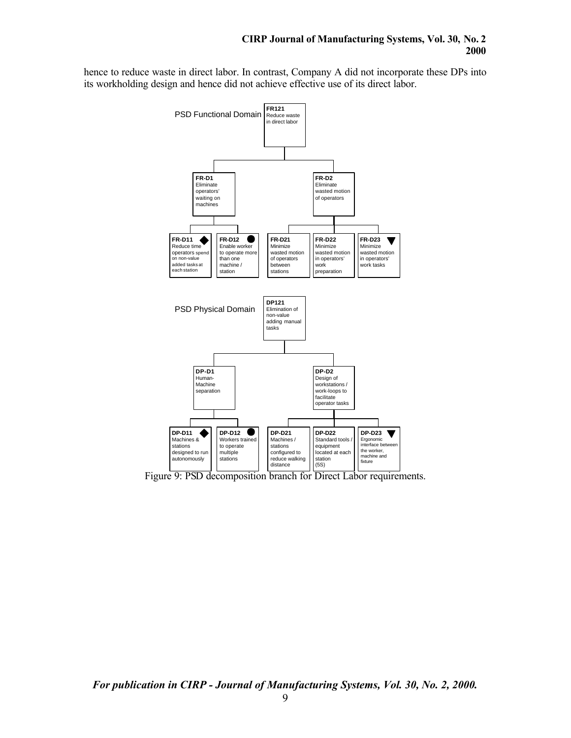hence to reduce waste in direct labor. In contrast, Company A did not incorporate these DPs into its workholding design and hence did not achieve effective use of its direct labor.



Figure 9: PSD decomposition branch for Direct Labor requirements.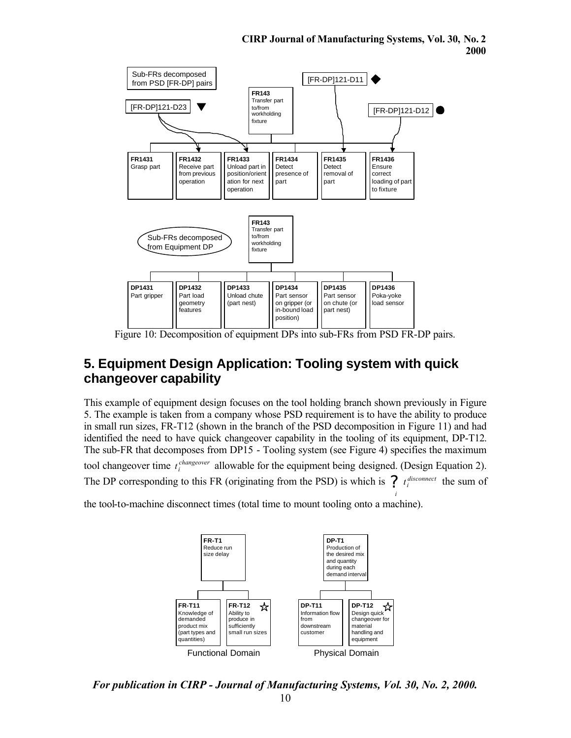

Figure 10: Decomposition of equipment DPs into sub-FRs from PSD FR-DP pairs.

## **5. Equipment Design Application: Tooling system with quick changeover capability**

This example of equipment design focuses on the tool holding branch shown previously in Figure 5. The example is taken from a company whose PSD requirement is to have the ability to produce in small run sizes, FR-T12 (shown in the branch of the PSD decomposition in Figure 11) and had identified the need to have quick changeover capability in the tooling of its equipment, DP-T12. The sub-FR that decomposes from DP15 - Tooling system (see Figure 4) specifies the maximum tool changeover time  $t_i^{changeover}$  allowable for the equipment being designed. (Design Equation 2). The DP corresponding to this FR (originating from the PSD) is which is  $\int t_i^{disconnect}$  the sum of *i*

the tool-to-machine disconnect times (total time to mount tooling onto a machine).



*For publication in CIRP - Journal of Manufacturing Systems, Vol. 30, No. 2, 2000.*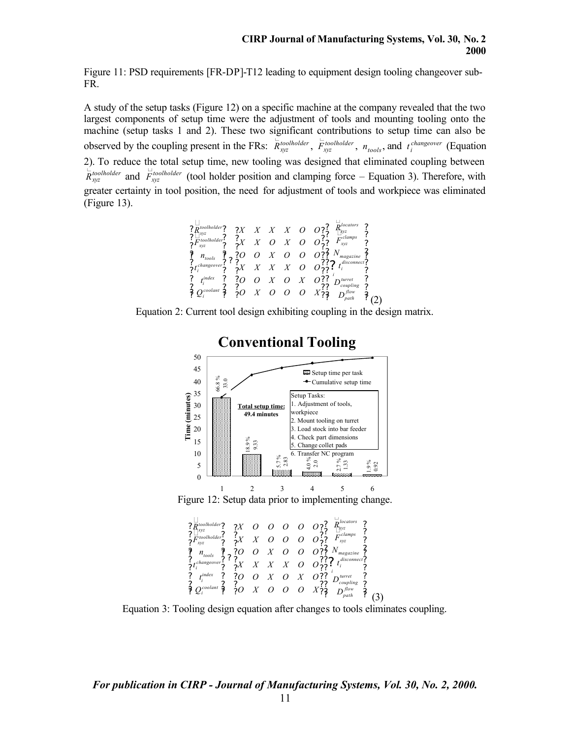Figure 11: PSD requirements [FR-DP]-T12 leading to equipment design tooling changeover sub-FR.

A study of the setup tasks (Figure 12) on a specific machine at the company revealed that the two largest components of setup time were the adjustment of tools and mounting tooling onto the machine (setup tasks 1 and 2). These two significant contributions to setup time can also be observed by the coupling present in the FRs:  $\dot{R}_{xyz}^{tootholder}$ ,  $\dot{F}_{xyz}^{tootholder}$ ,  $n_{tools}$ , and  $t_i^{changeover}$  (Equation 2). To reduce the total setup time, new tooling was designed that eliminated coupling between  $\dot{R}_{xyz}^{i}$  *ro todace* and  $\dot{F}_{xyz}^{i}$  *froglholder* (tool holder position and clamping force – Equation 3). Therefore, with greater certainty in tool position, the need for adjustment of tools and workpiece was eliminated (Figure 13).

$$
\begin{array}{ccccccccc}\n? & \frac{7}{2} & \frac{7}{2} & \frac{7}{2} & \frac{7}{2} & \frac{7}{2} & \frac{7}{2} & \frac{7}{2} & \frac{7}{2} & \frac{7}{2} & \frac{7}{2} & \frac{7}{2} & \frac{7}{2} & \frac{7}{2} & \frac{7}{2} & \frac{7}{2} & \frac{7}{2} & \frac{7}{2} & \frac{7}{2} & \frac{7}{2} & \frac{7}{2} & \frac{7}{2} & \frac{7}{2} & \frac{7}{2} & \frac{7}{2} & \frac{7}{2} & \frac{7}{2} & \frac{7}{2} & \frac{7}{2} & \frac{7}{2} & \frac{7}{2} & \frac{7}{2} & \frac{7}{2} & \frac{7}{2} & \frac{7}{2} & \frac{7}{2} & \frac{7}{2} & \frac{7}{2} & \frac{7}{2} & \frac{7}{2} & \frac{7}{2} & \frac{7}{2} & \frac{7}{2} & \frac{7}{2} & \frac{7}{2} & \frac{7}{2} & \frac{7}{2} & \frac{7}{2} & \frac{7}{2} & \frac{7}{2} & \frac{7}{2} & \frac{7}{2} & \frac{7}{2} & \frac{7}{2} & \frac{7}{2} & \frac{7}{2} & \frac{7}{2} & \frac{7}{2} & \frac{7}{2} & \frac{7}{2} & \frac{7}{2} & \frac{7}{2} & \frac{7}{2} & \frac{7}{2} & \frac{7}{2} & \frac{7}{2} & \frac{7}{2} & \frac{7}{2} & \frac{7}{2} & \frac{7}{2} & \frac{7}{2} & \frac{7}{2} & \frac{7}{2} & \frac{7}{2} & \frac{7}{2} & \frac{7}{2
$$





## **Conventional Tooling**

Figure 12: Setup data prior to implementing change.

? ? ? ? ? ? ? ? ? ? ? ? ? ? ? ? ? ? ? ? ? ? ? ? ? ? ? ? ? ? ? ? ? ? ? ? ? ? ? ? ? ? ? ? ? ? ?? ? ? ? ? ? ? ? ? ? ?? ? ? ? ? ? *flow path turret coupling i disconnect i magazine clamps xyz locators xyz coolant i index i changeover i tools toolholder xyz toolholder xyz D D t N F R O X O O O X O O X O X O X X X X O O O O X O O O X X O O O O X O O O O O Q t t n F R* ? ? ? ? (3)

Equation 3: Tooling design equation after changes to tools eliminates coupling.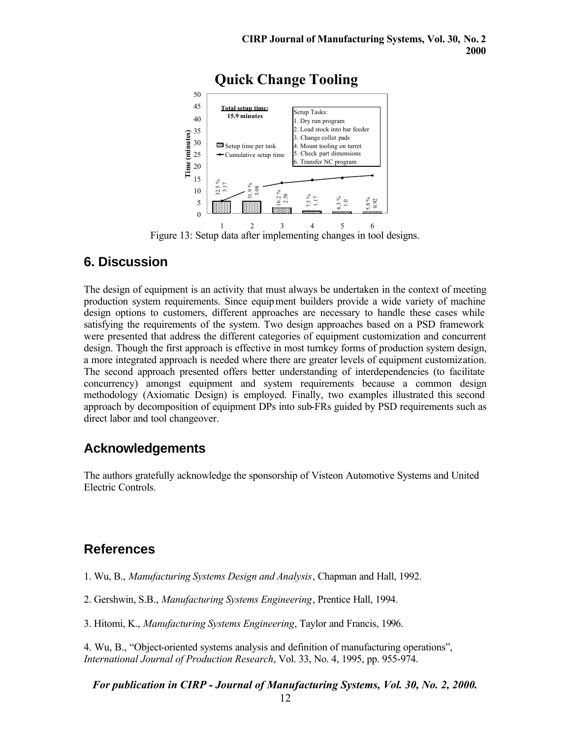

Figure 13: Setup data after implementing changes in tool designs.

# **6. Discussion**

The design of equipment is an activity that must always be undertaken in the context of meeting production system requirements. Since equipment builders provide a wide variety of machine design options to customers, different approaches are necessary to handle these cases while satisfying the requirements of the system. Two design approaches based on a PSD framework were presented that address the different categories of equipment customization and concurrent design. Though the first approach is effective in most turnkey forms of production system design, a more integrated approach is needed where there are greater levels of equipment customization. The second approach presented offers better understanding of interdependencies (to facilitate concurrency) amongst equipment and system requirements because a common design methodology (Axiomatic Design) is employed. Finally, two examples illustrated this second approach by decomposition of equipment DPs into sub-FRs guided by PSD requirements such as direct labor and tool changeover.

## **Acknowledgements**

The authors gratefully acknowledge the sponsorship of Visteon Automotive Systems and United Electric Controls.

# **References**

1. Wu, B., *Manufacturing Systems Design and Analysis*, Chapman and Hall, 1992.

2. Gershwin, S.B., *Manufacturing Systems Engineering*, Prentice Hall, 1994.

3. Hitomi, K., *Manufacturing Systems Engineering*, Taylor and Francis, 1996.

4. Wu, B., "Object-oriented systems analysis and definition of manufacturing operations", *International Journal of Production Research*, Vol. 33, No. 4, 1995, pp. 955-974.